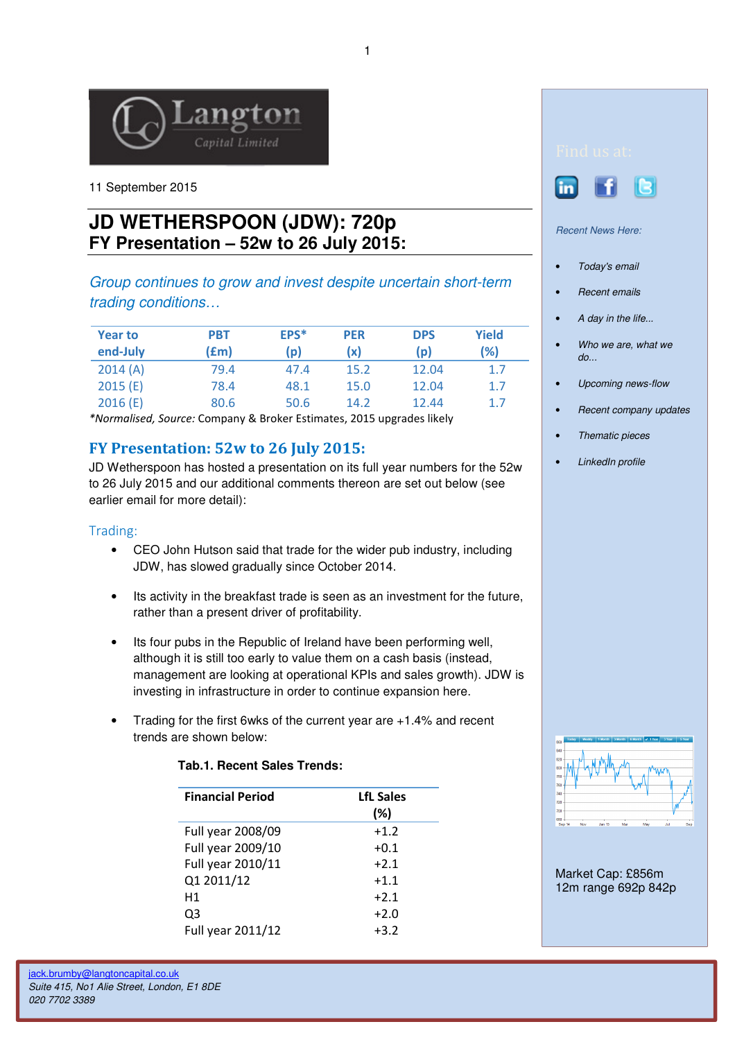

11 September 2015

# **JD WETHERSPOON (JDW): 720p FY Presentation – 52w to 26 July 2015:**

Group continues to grow and invest despite uncertain short-term trading conditions…

| <b>Year to</b><br>end-July | PBT<br>(£m) | EPS*<br>$\mathsf{p}$ | <b>PER</b><br>(x) | <b>DPS</b><br>(p) | Yield<br>(%) |
|----------------------------|-------------|----------------------|-------------------|-------------------|--------------|
| 2014(A)                    | 79.4        | 47.4                 | 15.2              | 12.04             | 1.7          |
| 2015(E)                    | 78.4        | 48.1                 | 15.0              | 12.04             | 1.7          |
| 2016(E)                    | 80.6        | 50.6                 | 14.2              | 12.44             | 1.7          |

\*Normalised, Source: Company & Broker Estimates, 2015 upgrades likely

## FY Presentation: 52w to 26 July 2015:

JD Wetherspoon has hosted a presentation on its full year numbers for the 52w to 26 July 2015 and our additional comments thereon are set out below (see earlier email for more detail):

### Trading:

- CEO John Hutson said that trade for the wider pub industry, including JDW, has slowed gradually since October 2014.
- Its activity in the breakfast trade is seen as an investment for the future, rather than a present driver of profitability.
- Its four pubs in the Republic of Ireland have been performing well, although it is still too early to value them on a cash basis (instead, management are looking at operational KPIs and sales growth). JDW is investing in infrastructure in order to continue expansion here.
- Trading for the first 6wks of the current year are +1.4% and recent trends are shown below:

| <b>Financial Period</b> | <b>LfL Sales</b> |  |
|-------------------------|------------------|--|
|                         | (%)              |  |
| Full year 2008/09       | $+1.2$           |  |
| Full year 2009/10       | $+0.1$           |  |
| Full year 2010/11       | $+2.1$           |  |
| Q1 2011/12              | $+1.1$           |  |
| Η1                      | $+2.1$           |  |
| Q3                      | $+2.0$           |  |
| Full year 2011/12       | $+3.2$           |  |

### **Tab.1. Recent Sales Trends:**





Recent News Here:

- Today's email
- Recent emails
- A day in the life...
- Who we are, what we do...
- Upcoming news-flow
- Recent company updates
- Thematic pieces
- LinkedIn profile



Market Cap: £856m 12m range 692p 842p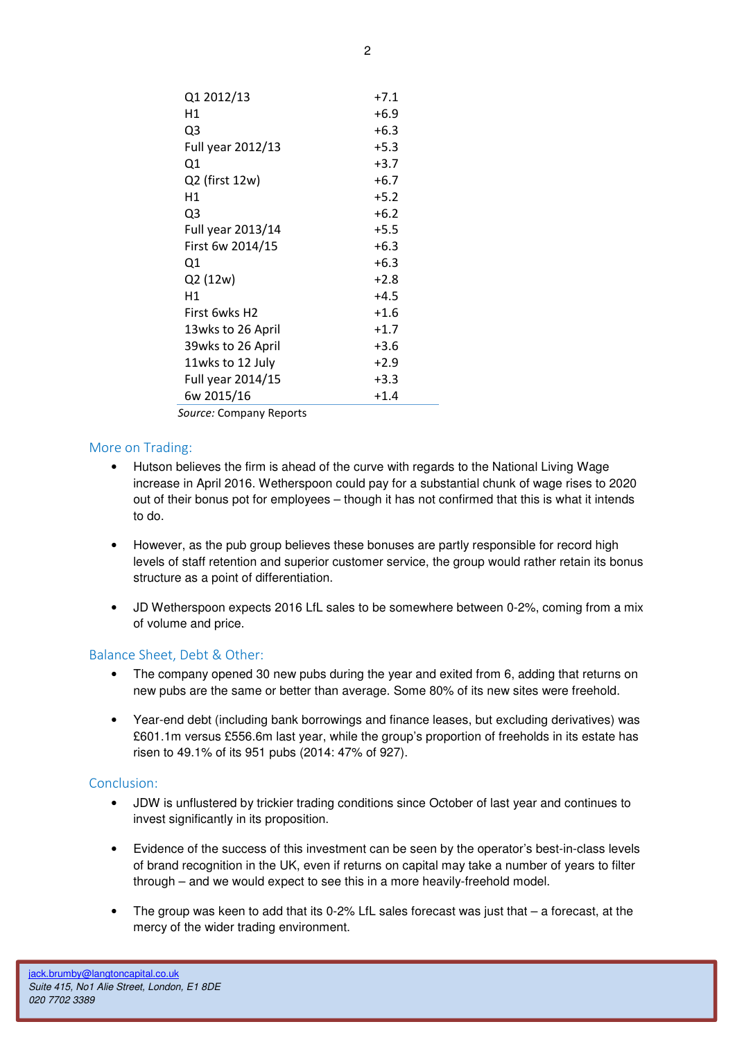| Q1 2012/13        | $+7.1$ |
|-------------------|--------|
| Η1                | $+6.9$ |
| Q3                | $+6.3$ |
| Full year 2012/13 | $+5.3$ |
| Q1                | $+3.7$ |
| Q2 (first 12w)    | $+6.7$ |
| Η1                | $+5.2$ |
| Q3                | $+6.2$ |
| Full year 2013/14 | $+5.5$ |
| First 6w 2014/15  | $+6.3$ |
| Q1                | $+6.3$ |
| Q2 (12w)          | $+2.8$ |
| Η1                | $+4.5$ |
| First 6wks H2     | $+1.6$ |
| 13wks to 26 April | $+1.7$ |
| 39wks to 26 April | $+3.6$ |
| 11wks to 12 July  | $+2.9$ |
| Full year 2014/15 | $+3.3$ |
| 6w 2015/16        | $+1.4$ |

Source: Company Reports

### More on Trading:

- Hutson believes the firm is ahead of the curve with regards to the National Living Wage increase in April 2016. Wetherspoon could pay for a substantial chunk of wage rises to 2020 out of their bonus pot for employees – though it has not confirmed that this is what it intends to do.
- However, as the pub group believes these bonuses are partly responsible for record high levels of staff retention and superior customer service, the group would rather retain its bonus structure as a point of differentiation.
- JD Wetherspoon expects 2016 LfL sales to be somewhere between 0-2%, coming from a mix of volume and price.

### Balance Sheet, Debt & Other:

- The company opened 30 new pubs during the year and exited from 6, adding that returns on new pubs are the same or better than average. Some 80% of its new sites were freehold.
- Year-end debt (including bank borrowings and finance leases, but excluding derivatives) was £601.1m versus £556.6m last year, while the group's proportion of freeholds in its estate has risen to 49.1% of its 951 pubs (2014: 47% of 927).

### Conclusion:

- JDW is unflustered by trickier trading conditions since October of last year and continues to invest significantly in its proposition.
- Evidence of the success of this investment can be seen by the operator's best-in-class levels of brand recognition in the UK, even if returns on capital may take a number of years to filter through – and we would expect to see this in a more heavily-freehold model.
- The group was keen to add that its 0-2% LfL sales forecast was just that  $-$  a forecast, at the mercy of the wider trading environment.